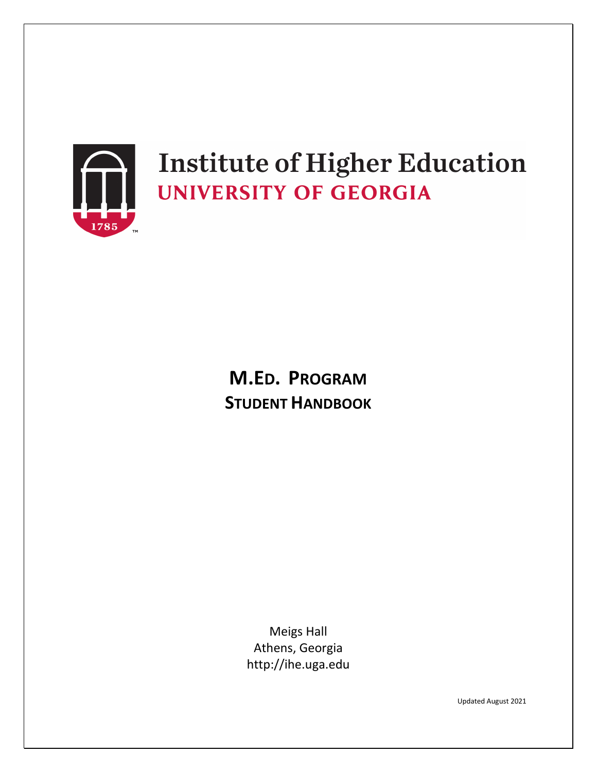

# **Institute of Higher Education UNIVERSITY OF GEORGIA**

## **M.ED. PROGRAM STUDENT HANDBOOK**

Meigs Hall Athens, Georgia http://ihe.uga.edu

Updated August 2021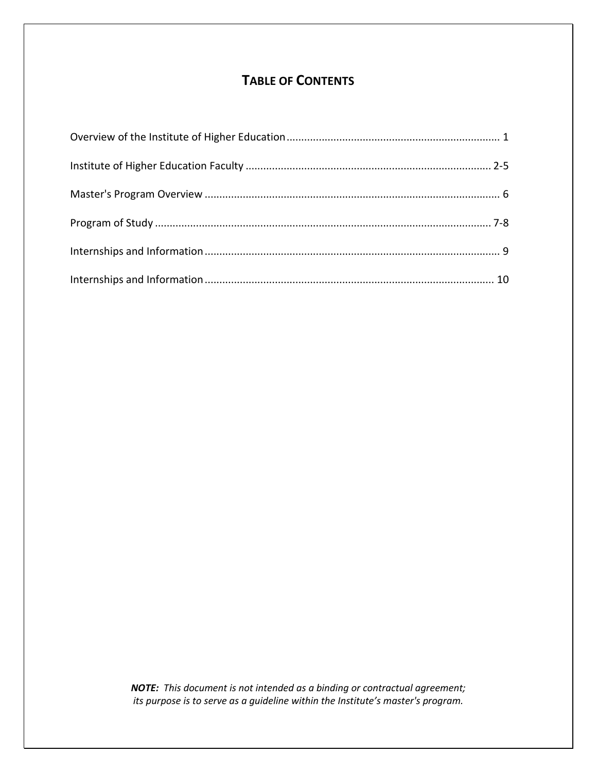## **TABLE OF CONTENTS**

*NOTE: This document is not intended as a binding or contractual agreement; its purpose is to serve as a guideline within the Institute's master's program.*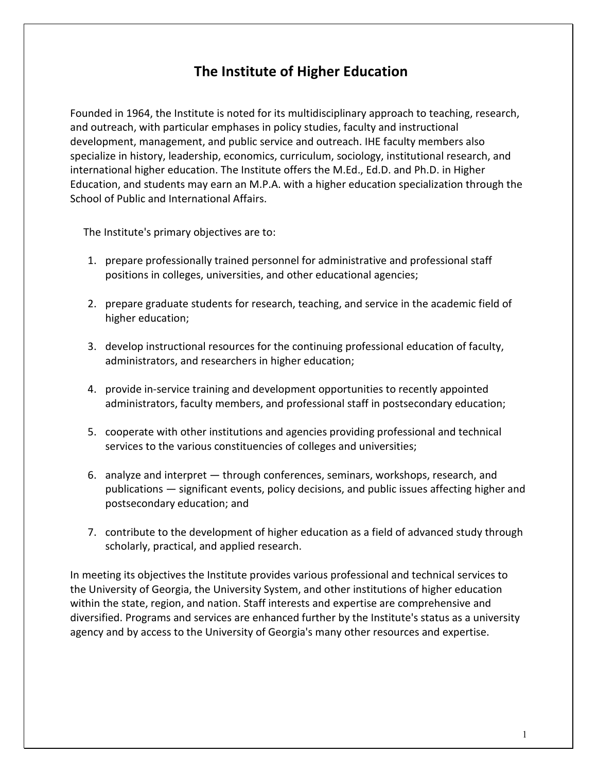## **The Institute of Higher Education**

Founded in 1964, the Institute is noted for its multidisciplinary approach to teaching, research, and outreach, with particular emphases in policy studies, faculty and instructional development, management, and public service and outreach. IHE faculty members also specialize in history, leadership, economics, curriculum, sociology, institutional research, and international higher education. The Institute offers the M.Ed., Ed.D. and Ph.D. in Higher Education, and students may earn an M.P.A. with a higher education specialization through the School of Public and International Affairs.

The Institute's primary objectives are to:

- 1. prepare professionally trained personnel for administrative and professional staff positions in colleges, universities, and other educational agencies;
- 2. prepare graduate students for research, teaching, and service in the academic field of higher education;
- 3. develop instructional resources for the continuing professional education of faculty, administrators, and researchers in higher education;
- 4. provide in-service training and development opportunities to recently appointed administrators, faculty members, and professional staff in postsecondary education;
- 5. cooperate with other institutions and agencies providing professional and technical services to the various constituencies of colleges and universities;
- 6. analyze and interpret through conferences, seminars, workshops, research, and publications — significant events, policy decisions, and public issues affecting higher and postsecondary education; and
- 7. contribute to the development of higher education as a field of advanced study through scholarly, practical, and applied research.

In meeting its objectives the Institute provides various professional and technical services to the University of Georgia, the University System, and other institutions of higher education within the state, region, and nation. Staff interests and expertise are comprehensive and diversified. Programs and services are enhanced further by the Institute's status as a university agency and by access to the University of Georgia's many other resources and expertise.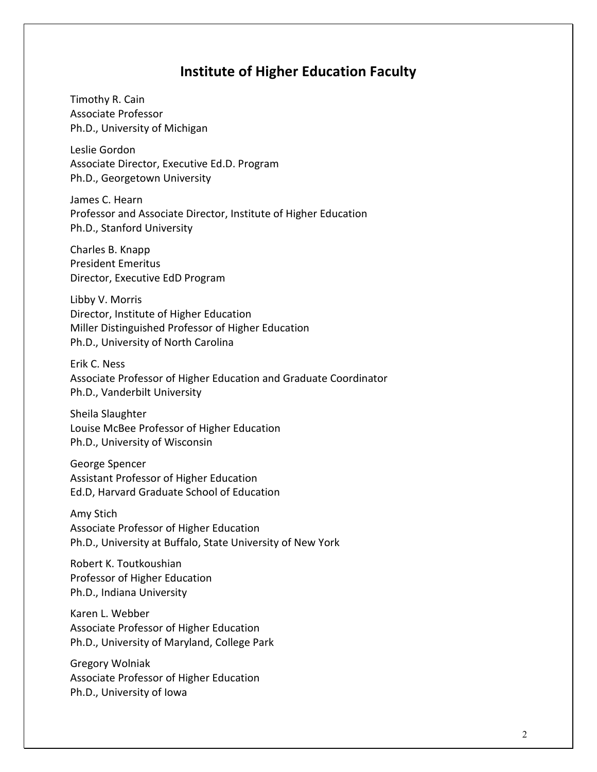## **Institute of Higher Education Faculty**

Timothy R. Cain Associate Professor Ph.D., University of Michigan

Leslie Gordon Associate Director, Executive Ed.D. Program Ph.D., Georgetown University

James C. Hearn Professor and Associate Director, Institute of Higher Education Ph.D., Stanford University

Charles B. Knapp President Emeritus Director, Executive EdD Program

Libby V. Morris Director, Institute of Higher Education Miller Distinguished Professor of Higher Education Ph.D., University of North Carolina

Erik C. Ness Associate Professor of Higher Education and Graduate Coordinator Ph.D., Vanderbilt University

Sheila Slaughter Louise McBee Professor of Higher Education Ph.D., University of Wisconsin

George Spencer Assistant Professor of Higher Education Ed.D, Harvard Graduate School of Education

Amy Stich Associate Professor of Higher Education Ph.D., University at Buffalo, State University of New York

Robert K. Toutkoushian Professor of Higher Education Ph.D., Indiana University

Karen L. Webber Associate Professor of Higher Education Ph.D., University of Maryland, College Park

Gregory Wolniak Associate Professor of Higher Education Ph.D., University of Iowa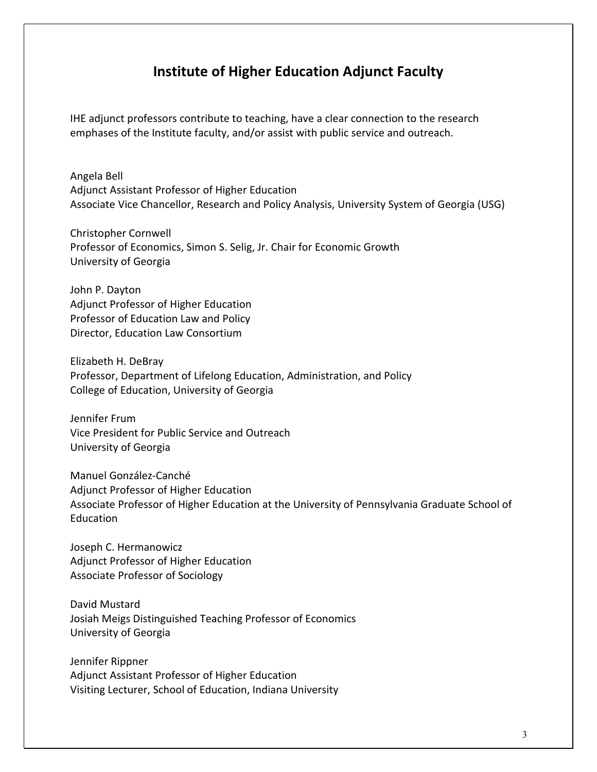## **Institute of Higher Education Adjunct Faculty**

IHE adjunct professors contribute to teaching, have a clear connection to the research emphases of the Institute faculty, and/or assist with public service and outreach.

Angela Bell Adjunct Assistant Professor of Higher Education Associate Vice Chancellor, Research and Policy Analysis, University System of Georgia (USG)

Christopher Cornwell Professor of Economics, Simon S. Selig, Jr. Chair for Economic Growth University of Georgia

John P. Dayton Adjunct Professor of Higher Education Professor of Education Law and Policy Director, Education Law Consortium

Elizabeth H. DeBray Professor, Department of Lifelong Education, Administration, and Policy College of Education, University of Georgia

Jennifer Frum Vice President for Public Service and Outreach University of Georgia

Manuel González-Canché Adjunct Professor of Higher Education Associate Professor of Higher Education at the University of Pennsylvania Graduate School of Education

Joseph C. Hermanowicz Adjunct Professor of Higher Education Associate Professor of Sociology

David Mustard Josiah Meigs Distinguished Teaching Professor of Economics University of Georgia

Jennifer Rippner Adjunct Assistant Professor of Higher Education Visiting Lecturer, School of Education, Indiana University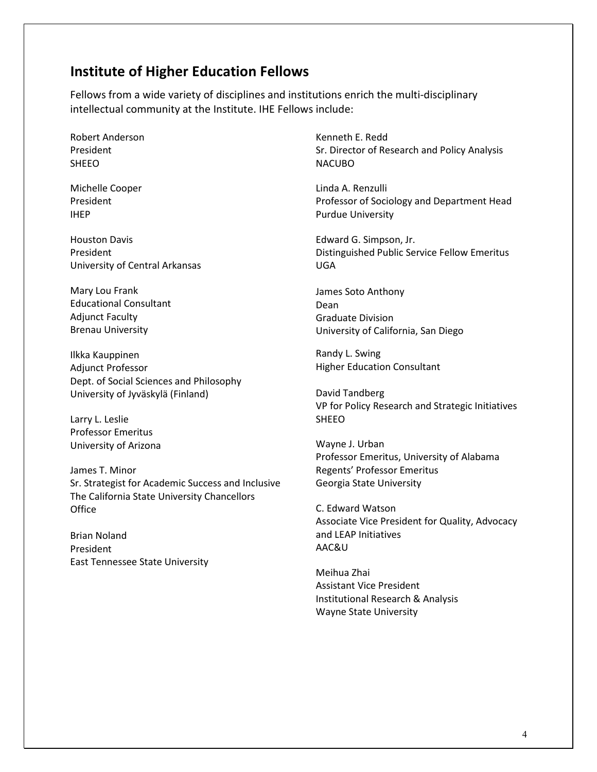## **Institute of Higher Education Fellows**

Fellows from a wide variety of disciplines and institutions enrich the multi-disciplinary intellectual community at the Institute. IHE Fellows include:

Robert Anderson President SHEEO

Michelle Cooper President IHEP

Houston Davis President University of Central Arkansas

Mary Lou Frank Educational Consultant Adjunct Faculty Brenau University

Ilkka Kauppinen Adjunct Professor Dept. of Social Sciences and Philosophy University of Jyväskylä (Finland)

Larry L. Leslie Professor Emeritus University of Arizona

James T. Minor Sr. Strategist for Academic Success and Inclusive The California State University Chancellors **Office** 

Brian Noland President East Tennessee State University

Kenneth E. Redd Sr. Director of Research and Policy Analysis NACUBO

Linda A. Renzulli Professor of Sociology and Department Head Purdue University

Edward G. Simpson, Jr. Distinguished Public Service Fellow Emeritus UGA

James Soto Anthony Dean Graduate Division University of California, San Diego

Randy L. Swing Higher Education Consultant

David Tandberg VP for Policy Research and Strategic Initiatives SHEEO

Wayne J. Urban Professor Emeritus, University of Alabama Regents' Professor Emeritus Georgia State University

C. Edward Watson Associate Vice President for Quality, Advocacy and LEAP Initiatives AAC&U

Meihua Zhai Assistant Vice President Institutional Research & Analysis Wayne State University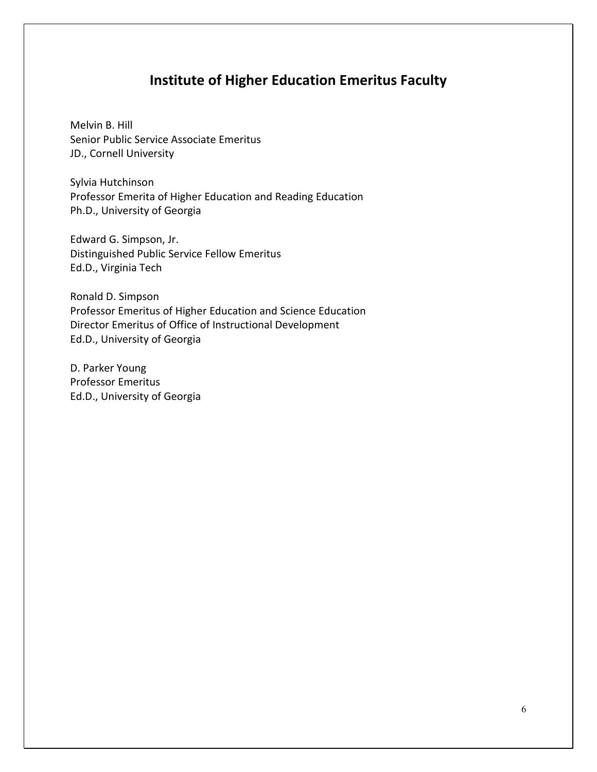## **Institute of Higher Education Emeritus Faculty**

Melvin B. Hill Senior Public Service Associate Emeritus JD., Cornell University

Sylvia Hutchinson Professor Emerita of Higher Education and Reading Education Ph.D., University of Georgia

Edward G. Simpson, Jr. Distinguished Public Service Fellow Emeritus Ed.D., Virginia Tech

Ronald D. Simpson Professor Emeritus of Higher Education and Science Education Director Emeritus of Office of Instructional Development Ed.D., University of Georgia

D. Parker Young Professor Emeritus Ed.D., University of Georgia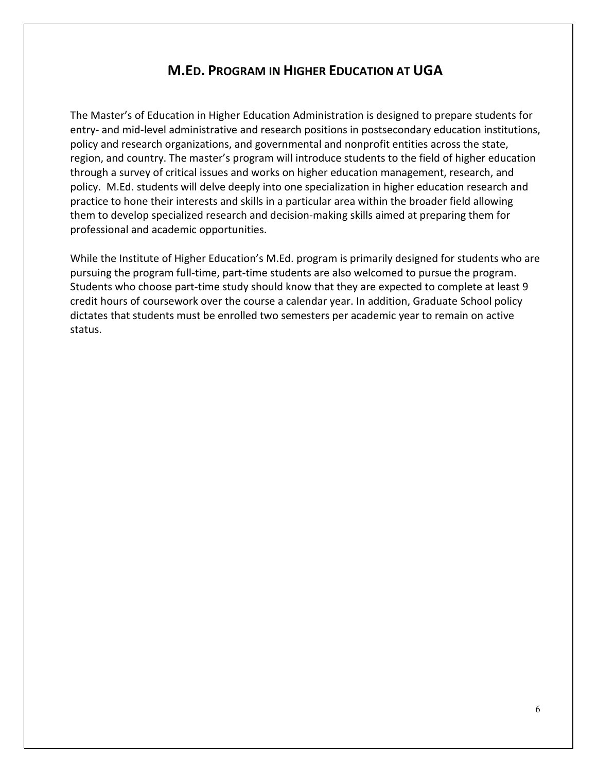### **M.ED. PROGRAM IN HIGHER EDUCATION AT UGA**

The Master's of Education in Higher Education Administration is designed to prepare students for entry- and mid-level administrative and research positions in postsecondary education institutions, policy and research organizations, and governmental and nonprofit entities across the state, region, and country. The master's program will introduce students to the field of higher education through a survey of critical issues and works on higher education management, research, and policy. M.Ed. students will delve deeply into one specialization in higher education research and practice to hone their interests and skills in a particular area within the broader field allowing them to develop specialized research and decision-making skills aimed at preparing them for professional and academic opportunities.

While the Institute of Higher Education's M.Ed. program is primarily designed for students who are pursuing the program full-time, part-time students are also welcomed to pursue the program. Students who choose part-time study should know that they are expected to complete at least 9 credit hours of coursework over the course a calendar year. In addition, Graduate School policy dictates that students must be enrolled two semesters per academic year to remain on active status.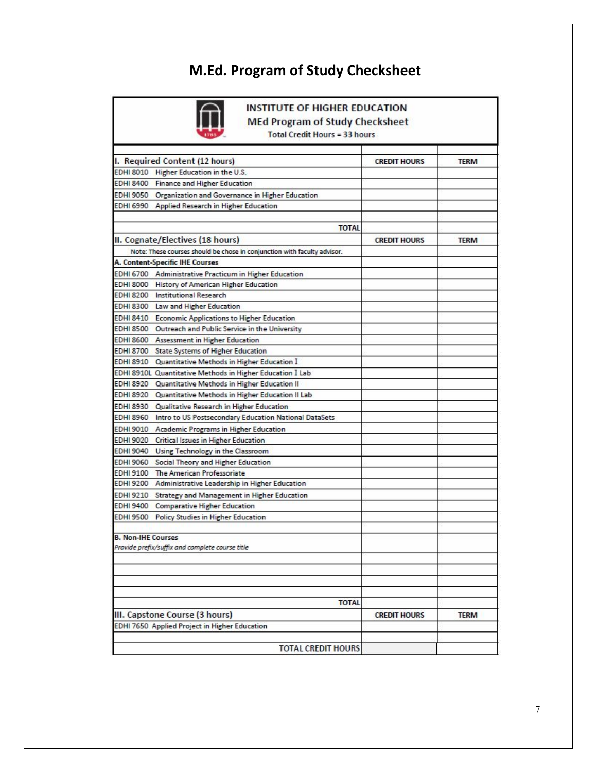## **M.Ed. Program of Study Checksheet**



**INSTITUTE OF HIGHER EDUCATION MEd Program of Study Checksheet** 

Total Credit Hours = 33 hours

| I. Required Content (12 hours)                                           | <b>CREDIT HOURS</b> | <b>TERM</b> |
|--------------------------------------------------------------------------|---------------------|-------------|
| EDHI 8010 Higher Education in the U.S.                                   |                     |             |
| EDHI 8400 Finance and Higher Education                                   |                     |             |
| EDHI 9050 Organization and Governance in Higher Education                |                     |             |
| EDHI 6990 Applied Research in Higher Education                           |                     |             |
|                                                                          |                     |             |
| <b>TOTAL</b>                                                             |                     |             |
| II. Cognate/Electives (18 hours)                                         | <b>CREDIT HOURS</b> | <b>TERM</b> |
| Note: These courses should be chose in conjunction with faculty advisor. |                     |             |
| A. Content-Specific IHE Courses                                          |                     |             |
| EDHI 6700 Administrative Practicum in Higher Education                   |                     |             |
| EDHI 8000 History of American Higher Education                           |                     |             |
| <b>EDHI 8200 Institutional Research</b>                                  |                     |             |
| EDHI 8300 Law and Higher Education                                       |                     |             |
|                                                                          |                     |             |
| EDHI 8410 Economic Applications to Higher Education                      |                     |             |
| EDHI 8500 Outreach and Public Service in the University                  |                     |             |
| EDHI 8600 Assessment in Higher Education                                 |                     |             |
| EDHI 8700 State Systems of Higher Education                              |                     |             |
| EDHI 8910 Quantitative Methods in Higher Education I                     |                     |             |
| EDHI 8910L Quantitative Methods in Higher Education I Lab                |                     |             |
| EDHI 8920 Quantitative Methods in Higher Education II                    |                     |             |
| EDHI 8920 Quantitative Methods in Higher Education II Lab                |                     |             |
| EDHI 8930 Qualitative Research in Higher Education                       |                     |             |
| EDHI 8960 Intro to US Postsecondary Education National DataSets          |                     |             |
| EDHI 9010 Academic Programs in Higher Education                          |                     |             |
| EDHI 9020 Critical Issues in Higher Education                            |                     |             |
| EDHI 9040 Using Technology in the Classroom                              |                     |             |
| EDHI 9060 Social Theory and Higher Education                             |                     |             |
| EDHI 9100 The American Professoriate                                     |                     |             |
| EDHI 9200 Administrative Leadership in Higher Education                  |                     |             |
| EDHI 9210 Strategy and Management in Higher Education                    |                     |             |
| <b>EDHI 9400</b> Comparative Higher Education                            |                     |             |
| <b>EDHI 9500</b><br><b>Policy Studies in Higher Education</b>            |                     |             |
|                                                                          |                     |             |
| <b>B. Non-IHE Courses</b>                                                |                     |             |
| Provide prefix/suffix and complete course title                          |                     |             |
|                                                                          |                     |             |
|                                                                          |                     |             |
|                                                                          |                     |             |
|                                                                          |                     |             |
| <b>TOTAL</b>                                                             |                     |             |
| III. Capstone Course (3 hours)                                           | <b>CREDIT HOURS</b> | <b>TERM</b> |
| EDHI 7650 Applied Project in Higher Education                            |                     |             |
|                                                                          |                     |             |
| <b>TOTAL CREDIT HOURS</b>                                                |                     |             |
|                                                                          |                     |             |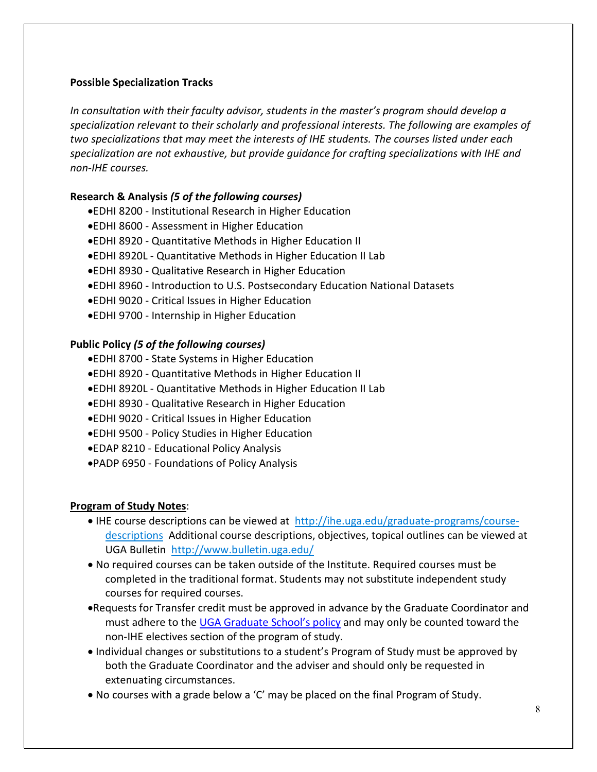#### **Possible Specialization Tracks**

*In consultation with their faculty advisor, students in the master's program should develop a specialization relevant to their scholarly and professional interests. The following are examples of two specializations that may meet the interests of IHE students. The courses listed under each specialization are not exhaustive, but provide guidance for crafting specializations with IHE and non-IHE courses.*

#### **Research & Analysis** *(5 of the following courses)*

- •EDHI 8200 Institutional Research in Higher Education
- •EDHI 8600 Assessment in Higher Education
- •EDHI 8920 Quantitative Methods in Higher Education II
- •EDHI 8920L Quantitative Methods in Higher Education II Lab
- •EDHI 8930 Qualitative Research in Higher Education
- •EDHI 8960 Introduction to U.S. Postsecondary Education National Datasets
- •EDHI 9020 Critical Issues in Higher Education
- •EDHI 9700 Internship in Higher Education

#### **Public Policy** *(5 of the following courses)*

- •EDHI 8700 State Systems in Higher Education
- •EDHI 8920 Quantitative Methods in Higher Education II
- •EDHI 8920L Quantitative Methods in Higher Education II Lab
- •EDHI 8930 Qualitative Research in Higher Education
- •EDHI 9020 Critical Issues in Higher Education
- •EDHI 9500 Policy Studies in Higher Education
- •EDAP 8210 Educational Policy Analysis
- •PADP 6950 Foundations of Policy Analysis

#### **Program of Study Notes**:

- IHE course descriptions can be viewed at http://ihe.uga.edu/graduate-programs/coursedescriptions Additional course descriptions, objectives, topical outlines can be viewed at UGA Bulletin<http://www.bulletin.uga.edu/>
- No required courses can be taken outside of the Institute. Required courses must be completed in the traditional format. Students may not substitute independent study courses for required courses.
- •Requests for Transfer credit must be approved in advance by the Graduate Coordinator and must adhere to the [UGA Graduate School's policy](https://grad.uga.edu/index.php/current-students/policies-procedures/academics/acceptance-of-credit-by-transfer/) and may only be counted toward the non-IHE electives section of the program of study.
- Individual changes or substitutions to a student's Program of Study must be approved by both the Graduate Coordinator and the adviser and should only be requested in extenuating circumstances.
- No courses with a grade below a 'C' may be placed on the final Program of Study.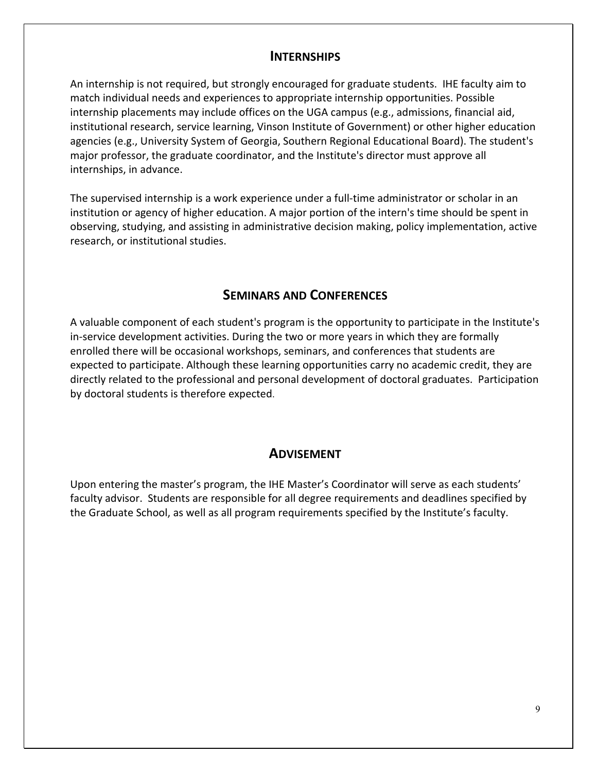#### **INTERNSHIPS**

An internship is not required, but strongly encouraged for graduate students. IHE faculty aim to match individual needs and experiences to appropriate internship opportunities. Possible internship placements may include offices on the UGA campus (e.g., admissions, financial aid, institutional research, service learning, Vinson Institute of Government) or other higher education agencies (e.g., University System of Georgia, Southern Regional Educational Board). The student's major professor, the graduate coordinator, and the Institute's director must approve all internships, in advance.

The supervised internship is a work experience under a full-time administrator or scholar in an institution or agency of higher education. A major portion of the intern's time should be spent in observing, studying, and assisting in administrative decision making, policy implementation, active research, or institutional studies.

#### **SEMINARS AND CONFERENCES**

A valuable component of each student's program is the opportunity to participate in the Institute's in-service development activities. During the two or more years in which they are formally enrolled there will be occasional workshops, seminars, and conferences that students are expected to participate. Although these learning opportunities carry no academic credit, they are directly related to the professional and personal development of doctoral graduates. Participation by doctoral students is therefore expected.

#### **ADVISEMENT**

Upon entering the master's program, the IHE Master's Coordinator will serve as each students' faculty advisor. Students are responsible for all degree requirements and deadlines specified by the Graduate School, as well as all program requirements specified by the Institute's faculty.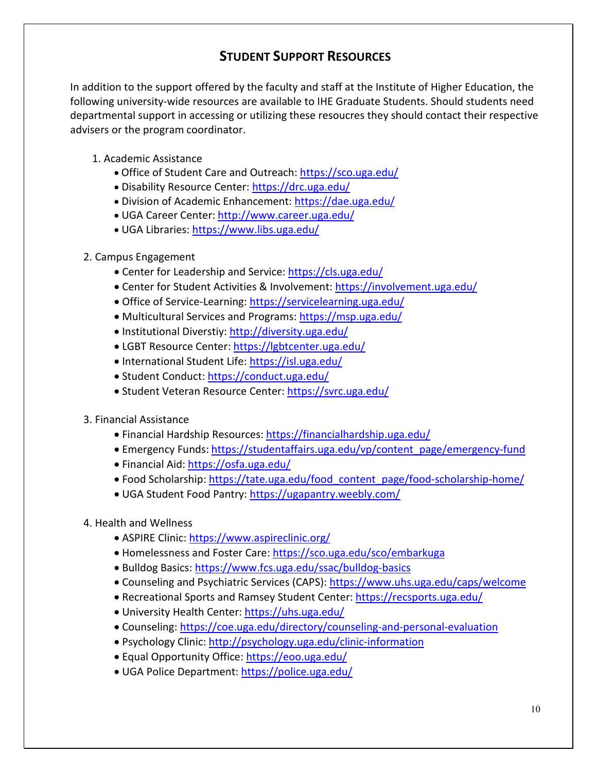## **STUDENT SUPPORT RESOURCES**

In addition to the support offered by the faculty and staff at the Institute of Higher Education, the following university-wide resources are available to IHE Graduate Students. Should students need departmental support in accessing or utilizing these resoucres they should contact their respective advisers or the program coordinator.

- 1. Academic Assistance
	- Office of Student Care and Outreach[: https://sco.uga.edu/](https://sco.uga.edu/)
	- Disability Resource Center:<https://drc.uga.edu/>
	- Division of Academic Enhancement:<https://dae.uga.edu/>
	- UGA Career Center: <http://www.career.uga.edu/>
	- UGA Libraries:<https://www.libs.uga.edu/>
- 2. Campus Engagement
	- Center for Leadership and Service:<https://cls.uga.edu/>
	- Center for Student Activities & Involvement:<https://involvement.uga.edu/>
	- Office of Service-Learning:<https://servicelearning.uga.edu/>
	- Multicultural Services and Programs:<https://msp.uga.edu/>
	- Institutional Diverstiy:<http://diversity.uga.edu/>
	- LGBT Resource Center:<https://lgbtcenter.uga.edu/>
	- International Student Life: <https://isl.uga.edu/>
	- Student Conduct:<https://conduct.uga.edu/>
	- Student Veteran Resource Center[: https://svrc.uga.edu/](https://svrc.uga.edu/)
- 3. Financial Assistance
	- Financial Hardship Resources: <https://financialhardship.uga.edu/>
	- Emergency Funds: [https://studentaffairs.uga.edu/vp/content\\_page/emergency-fund](https://studentaffairs.uga.edu/vp/content_page/emergency-fund)
	- Financial Aid:<https://osfa.uga.edu/>
	- Food Scholarship: [https://tate.uga.edu/food\\_content\\_page/food-scholarship-home/](https://tate.uga.edu/food_content_page/food-scholarship-home/)
	- UGA Student Food Pantry:<https://ugapantry.weebly.com/>
- 4. Health and Wellness
	- ASPIRE Clinic:<https://www.aspireclinic.org/>
	- Homelessness and Foster Care:<https://sco.uga.edu/sco/embarkuga>
	- Bulldog Basics:<https://www.fcs.uga.edu/ssac/bulldog-basics>
	- Counseling and Psychiatric Services (CAPS):<https://www.uhs.uga.edu/caps/welcome>
	- Recreational Sports and Ramsey Student Center[: https://recsports.uga.edu/](https://recsports.uga.edu/)
	- University Health Center:<https://uhs.uga.edu/>
	- Counseling: <https://coe.uga.edu/directory/counseling-and-personal-evaluation>
	- Psychology Clinic:<http://psychology.uga.edu/clinic-information>
	- Equal Opportunity Office:<https://eoo.uga.edu/>
	- UGA Police Department:<https://police.uga.edu/>